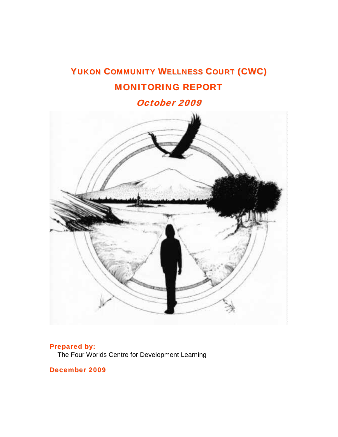# YUKON COMMUNITY WELLNESS COURT (CWC) MONITORING REPORT

October 2009



# Prepared by:

The Four Worlds Centre for Development Learning

December 2009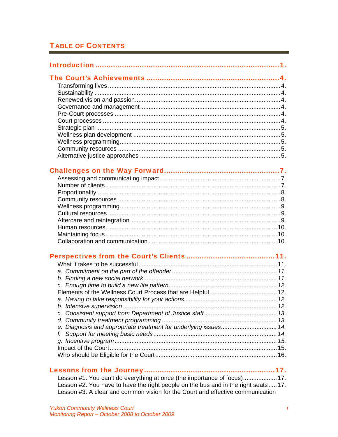# **TABLE OF CONTENTS**

| e. Diagnosis and appropriate treatment for underlying issues 14.         |  |
|--------------------------------------------------------------------------|--|
|                                                                          |  |
|                                                                          |  |
|                                                                          |  |
|                                                                          |  |
|                                                                          |  |
|                                                                          |  |
| Lesson #1: You can't do everything at once (the importance of focus) 17. |  |

Lesson #2: You have to have the right people on the bus and in the right seats.....17.<br>Lesson #3: A clear and common vision for the Court and effective communication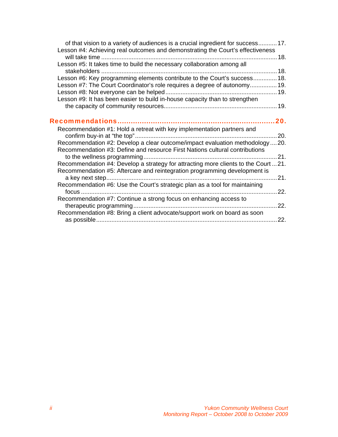| of that vision to a variety of audiences is a crucial ingredient for success17.              |      |
|----------------------------------------------------------------------------------------------|------|
| Lesson #4: Achieving real outcomes and demonstrating the Court's effectiveness               |      |
| Lesson #5: It takes time to build the necessary collaboration among all                      |      |
|                                                                                              |      |
| Lesson #6: Key programming elements contribute to the Court's success 18.                    |      |
| Lesson #7: The Court Coordinator's role requires a degree of autonomy 19.                    |      |
|                                                                                              |      |
| Lesson #9: It has been easier to build in-house capacity than to strengthen                  |      |
|                                                                                              |      |
|                                                                                              |      |
|                                                                                              | 20.  |
| Recommendation #1: Hold a retreat with key implementation partners and                       |      |
|                                                                                              |      |
| Recommendation #2: Develop a clear outcome/impact evaluation methodology  20.                |      |
| Recommendation #3: Define and resource First Nations cultural contributions                  |      |
|                                                                                              |      |
| Recommendation #4: Develop a strategy for attracting more clients to the Court 21.           |      |
| Recommendation #5: Aftercare and reintegration programming development is<br>a key next step | .21. |
| Recommendation #6: Use the Court's strategic plan as a tool for maintaining                  |      |
|                                                                                              |      |
| Recommendation #7: Continue a strong focus on enhancing access to                            |      |
|                                                                                              | 22.  |
| Recommendation #8: Bring a client advocate/support work on board as soon                     | 22.  |
|                                                                                              |      |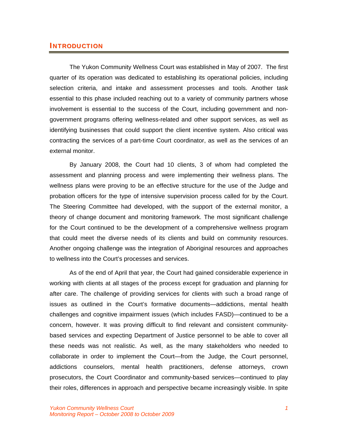# INTRODUCTION

The Yukon Community Wellness Court was established in May of 2007. The first quarter of its operation was dedicated to establishing its operational policies, including selection criteria, and intake and assessment processes and tools. Another task essential to this phase included reaching out to a variety of community partners whose involvement is essential to the success of the Court, including government and nongovernment programs offering wellness-related and other support services, as well as identifying businesses that could support the client incentive system. Also critical was contracting the services of a part-time Court coordinator, as well as the services of an external monitor.

By January 2008, the Court had 10 clients, 3 of whom had completed the assessment and planning process and were implementing their wellness plans. The wellness plans were proving to be an effective structure for the use of the Judge and probation officers for the type of intensive supervision process called for by the Court. The Steering Committee had developed, with the support of the external monitor, a theory of change document and monitoring framework. The most significant challenge for the Court continued to be the development of a comprehensive wellness program that could meet the diverse needs of its clients and build on community resources. Another ongoing challenge was the integration of Aboriginal resources and approaches to wellness into the Court's processes and services.

As of the end of April that year, the Court had gained considerable experience in working with clients at all stages of the process except for graduation and planning for after care. The challenge of providing services for clients with such a broad range of issues as outlined in the Court's formative documents—addictions, mental health challenges and cognitive impairment issues (which includes FASD)—continued to be a concern, however. It was proving difficult to find relevant and consistent communitybased services and expecting Department of Justice personnel to be able to cover all these needs was not realistic. As well, as the many stakeholders who needed to collaborate in order to implement the Court—from the Judge, the Court personnel, addictions counselors, mental health practitioners, defense attorneys, crown prosecutors, the Court Coordinator and community-based services—continued to play their roles, differences in approach and perspective became increasingly visible. In spite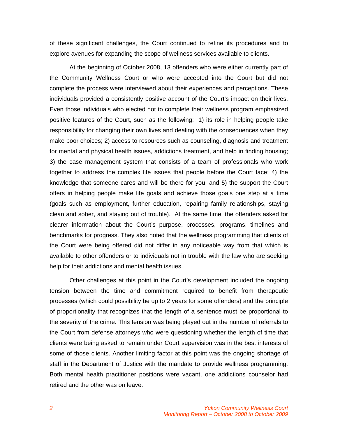of these significant challenges, the Court continued to refine its procedures and to explore avenues for expanding the scope of wellness services available to clients.

At the beginning of October 2008, 13 offenders who were either currently part of the Community Wellness Court or who were accepted into the Court but did not complete the process were interviewed about their experiences and perceptions. These individuals provided a consistently positive account of the Court's impact on their lives. Even those individuals who elected not to complete their wellness program emphasized positive features of the Court, such as the following: 1) its role in helping people take responsibility for changing their own lives and dealing with the consequences when they make poor choices; 2) access to resources such as counseling, diagnosis and treatment for mental and physical health issues, addictions treatment, and help in finding housing; 3) the case management system that consists of a team of professionals who work together to address the complex life issues that people before the Court face; 4) the knowledge that someone cares and will be there for you; and 5) the support the Court offers in helping people make life goals and achieve those goals one step at a time (goals such as employment, further education, repairing family relationships, staying clean and sober, and staying out of trouble). At the same time, the offenders asked for clearer information about the Court's purpose, processes, programs, timelines and benchmarks for progress. They also noted that the wellness programming that clients of the Court were being offered did not differ in any noticeable way from that which is available to other offenders or to individuals not in trouble with the law who are seeking help for their addictions and mental health issues.

Other challenges at this point in the Court's development included the ongoing tension between the time and commitment required to benefit from therapeutic processes (which could possibility be up to 2 years for some offenders) and the principle of proportionality that recognizes that the length of a sentence must be proportional to the severity of the crime. This tension was being played out in the number of referrals to the Court from defense attorneys who were questioning whether the length of time that clients were being asked to remain under Court supervision was in the best interests of some of those clients. Another limiting factor at this point was the ongoing shortage of staff in the Department of Justice with the mandate to provide wellness programming. Both mental health practitioner positions were vacant, one addictions counselor had retired and the other was on leave.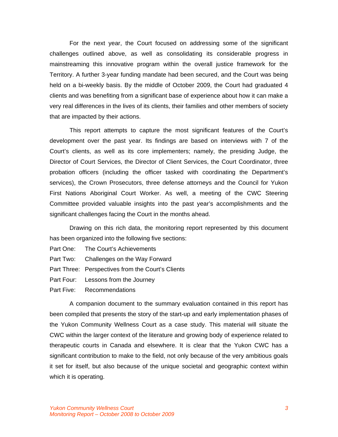For the next year, the Court focused on addressing some of the significant challenges outlined above, as well as consolidating its considerable progress in mainstreaming this innovative program within the overall justice framework for the Territory. A further 3-year funding mandate had been secured, and the Court was being held on a bi-weekly basis. By the middle of October 2009, the Court had graduated 4 clients and was benefiting from a significant base of experience about how it can make a very real differences in the lives of its clients, their families and other members of society that are impacted by their actions.

This report attempts to capture the most significant features of the Court's development over the past year. Its findings are based on interviews with 7 of the Court's clients, as well as its core implementers; namely, the presiding Judge, the Director of Court Services, the Director of Client Services, the Court Coordinator, three probation officers (including the officer tasked with coordinating the Department's services), the Crown Prosecutors, three defense attorneys and the Council for Yukon First Nations Aboriginal Court Worker. As well, a meeting of the CWC Steering Committee provided valuable insights into the past year's accomplishments and the significant challenges facing the Court in the months ahead.

Drawing on this rich data, the monitoring report represented by this document has been organized into the following five sections:

- Part One: The Court's Achievements
- Part Two: Challenges on the Way Forward
- Part Three: Perspectives from the Court's Clients
- Part Four: Lessons from the Journey
- Part Five: Recommendations

A companion document to the summary evaluation contained in this report has been compiled that presents the story of the start-up and early implementation phases of the Yukon Community Wellness Court as a case study. This material will situate the CWC within the larger context of the literature and growing body of experience related to therapeutic courts in Canada and elsewhere. It is clear that the Yukon CWC has a significant contribution to make to the field, not only because of the very ambitious goals it set for itself, but also because of the unique societal and geographic context within which it is operating.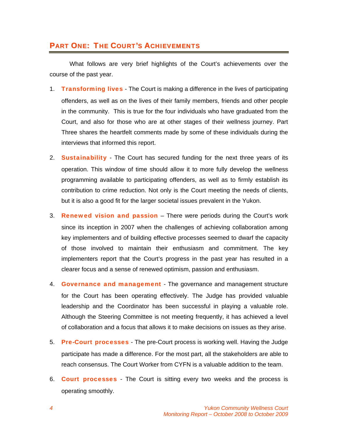# PART ONE: THE COURT'S ACHIEVEMENTS

What follows are very brief highlights of the Court's achievements over the course of the past year.

- 1. **Transforming lives** The Court is making a difference in the lives of participating offenders, as well as on the lives of their family members, friends and other people in the community. This is true for the four individuals who have graduated from the Court, and also for those who are at other stages of their wellness journey. Part Three shares the heartfelt comments made by some of these individuals during the interviews that informed this report.
- 2. **Sustainability** The Court has secured funding for the next three years of its operation. This window of time should allow it to more fully develop the wellness programming available to participating offenders, as well as to firmly establish its contribution to crime reduction. Not only is the Court meeting the needs of clients, but it is also a good fit for the larger societal issues prevalent in the Yukon.
- 3. **Renewed vision and passion** There were periods during the Court's work since its inception in 2007 when the challenges of achieving collaboration among key implementers and of building effective processes seemed to dwarf the capacity of those involved to maintain their enthusiasm and commitment. The key implementers report that the Court's progress in the past year has resulted in a clearer focus and a sense of renewed optimism, passion and enthusiasm.
- 4. Governance and management The governance and management structure for the Court has been operating effectively. The Judge has provided valuable leadership and the Coordinator has been successful in playing a valuable role. Although the Steering Committee is not meeting frequently, it has achieved a level of collaboration and a focus that allows it to make decisions on issues as they arise.
- 5. Pre-Court processes The pre-Court process is working well. Having the Judge participate has made a difference. For the most part, all the stakeholders are able to reach consensus. The Court Worker from CYFN is a valuable addition to the team.
- 6. **Court processes** The Court is sitting every two weeks and the process is operating smoothly.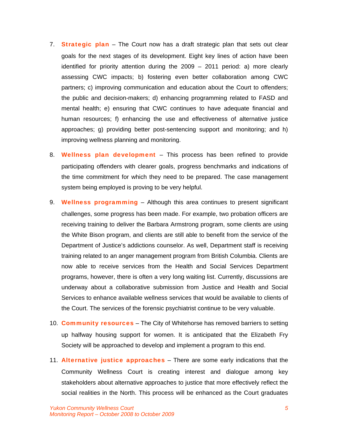- 7. **Strategic plan** The Court now has a draft strategic plan that sets out clear goals for the next stages of its development. Eight key lines of action have been identified for priority attention during the 2009 – 2011 period: a) more clearly assessing CWC impacts; b) fostering even better collaboration among CWC partners; c) improving communication and education about the Court to offenders; the public and decision-makers; d) enhancing programming related to FASD and mental health; e) ensuring that CWC continues to have adequate financial and human resources; f) enhancing the use and effectiveness of alternative justice approaches; g) providing better post-sentencing support and monitoring; and h) improving wellness planning and monitoring.
- 8. Wellness plan development This process has been refined to provide participating offenders with clearer goals, progress benchmarks and indications of the time commitment for which they need to be prepared. The case management system being employed is proving to be very helpful.
- 9. Wellness programming Although this area continues to present significant challenges, some progress has been made. For example, two probation officers are receiving training to deliver the Barbara Armstrong program, some clients are using the White Bison program, and clients are still able to benefit from the service of the Department of Justice's addictions counselor. As well, Department staff is receiving training related to an anger management program from British Columbia. Clients are now able to receive services from the Health and Social Services Department programs, however, there is often a very long waiting list. Currently, discussions are underway about a collaborative submission from Justice and Health and Social Services to enhance available wellness services that would be available to clients of the Court. The services of the forensic psychiatrist continue to be very valuable.
- 10. **Community resources** The City of Whitehorse has removed barriers to setting up halfway housing support for women. It is anticipated that the Elizabeth Fry Society will be approached to develop and implement a program to this end.
- 11. **Alternative justice approaches** There are some early indications that the Community Wellness Court is creating interest and dialogue among key stakeholders about alternative approaches to justice that more effectively reflect the social realities in the North. This process will be enhanced as the Court graduates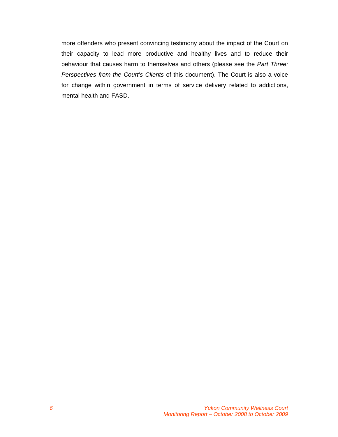more offenders who present convincing testimony about the impact of the Court on their capacity to lead more productive and healthy lives and to reduce their behaviour that causes harm to themselves and others (please see the *Part Three: Perspectives from the Court's Clients* of this document). The Court is also a voice for change within government in terms of service delivery related to addictions, mental health and FASD.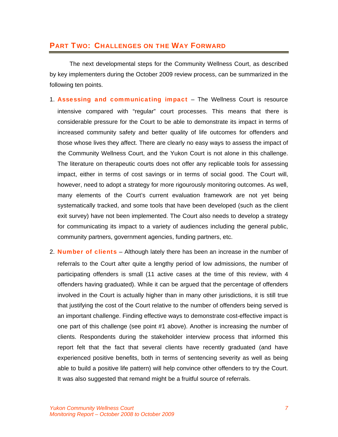# PART TWO: CHALLENGES ON THE WAY FORWARD

 The next developmental steps for the Community Wellness Court, as described by key implementers during the October 2009 review process, can be summarized in the following ten points.

- 1. Assessing and communicating impact The Wellness Court is resource intensive compared with "regular" court processes. This means that there is considerable pressure for the Court to be able to demonstrate its impact in terms of increased community safety and better quality of life outcomes for offenders and those whose lives they affect. There are clearly no easy ways to assess the impact of the Community Wellness Court, and the Yukon Court is not alone in this challenge. The literature on therapeutic courts does not offer any replicable tools for assessing impact, either in terms of cost savings or in terms of social good. The Court will, however, need to adopt a strategy for more rigourously monitoring outcomes. As well, many elements of the Court's current evaluation framework are not yet being systematically tracked, and some tools that have been developed (such as the client exit survey) have not been implemented. The Court also needs to develop a strategy for communicating its impact to a variety of audiences including the general public, community partners, government agencies, funding partners, etc.
- 2. **Number of clients** Although lately there has been an increase in the number of referrals to the Court after quite a lengthy period of low admissions, the number of participating offenders is small (11 active cases at the time of this review, with 4 offenders having graduated). While it can be argued that the percentage of offenders involved in the Court is actually higher than in many other jurisdictions, it is still true that justifying the cost of the Court relative to the number of offenders being served is an important challenge. Finding effective ways to demonstrate cost-effective impact is one part of this challenge (see point #1 above). Another is increasing the number of clients. Respondents during the stakeholder interview process that informed this report felt that the fact that several clients have recently graduated (and have experienced positive benefits, both in terms of sentencing severity as well as being able to build a positive life pattern) will help convince other offenders to try the Court. It was also suggested that remand might be a fruitful source of referrals.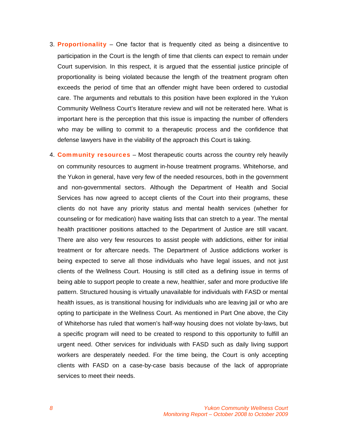- 3. Proportionality One factor that is frequently cited as being a disincentive to participation in the Court is the length of time that clients can expect to remain under Court supervision. In this respect, it is argued that the essential justice principle of proportionality is being violated because the length of the treatment program often exceeds the period of time that an offender might have been ordered to custodial care. The arguments and rebuttals to this position have been explored in the Yukon Community Wellness Court's literature review and will not be reiterated here. What is important here is the perception that this issue is impacting the number of offenders who may be willing to commit to a therapeutic process and the confidence that defense lawyers have in the viability of the approach this Court is taking.
- 4. **Community resources** Most therapeutic courts across the country rely heavily on community resources to augment in-house treatment programs. Whitehorse, and the Yukon in general, have very few of the needed resources, both in the government and non-governmental sectors. Although the Department of Health and Social Services has now agreed to accept clients of the Court into their programs, these clients do not have any priority status and mental health services (whether for counseling or for medication) have waiting lists that can stretch to a year. The mental health practitioner positions attached to the Department of Justice are still vacant. There are also very few resources to assist people with addictions, either for initial treatment or for aftercare needs. The Department of Justice addictions worker is being expected to serve all those individuals who have legal issues, and not just clients of the Wellness Court. Housing is still cited as a defining issue in terms of being able to support people to create a new, healthier, safer and more productive life pattern. Structured housing is virtually unavailable for individuals with FASD or mental health issues, as is transitional housing for individuals who are leaving jail or who are opting to participate in the Wellness Court. As mentioned in Part One above, the City of Whitehorse has ruled that women's half-way housing does not violate by-laws, but a specific program will need to be created to respond to this opportunity to fulfill an urgent need. Other services for individuals with FASD such as daily living support workers are desperately needed. For the time being, the Court is only accepting clients with FASD on a case-by-case basis because of the lack of appropriate services to meet their needs.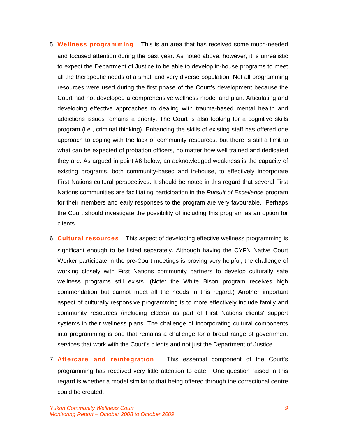- 5. Wellness programming This is an area that has received some much-needed and focused attention during the past year. As noted above, however, it is unrealistic to expect the Department of Justice to be able to develop in-house programs to meet all the therapeutic needs of a small and very diverse population. Not all programming resources were used during the first phase of the Court's development because the Court had not developed a comprehensive wellness model and plan. Articulating and developing effective approaches to dealing with trauma-based mental health and addictions issues remains a priority. The Court is also looking for a cognitive skills program (i.e., criminal thinking). Enhancing the skills of existing staff has offered one approach to coping with the lack of community resources, but there is still a limit to what can be expected of probation officers, no matter how well trained and dedicated they are. As argued in point #6 below, an acknowledged weakness is the capacity of existing programs, both community-based and in-house, to effectively incorporate First Nations cultural perspectives. It should be noted in this regard that several First Nations communities are facilitating participation in the *Pursuit of Excellence* program for their members and early responses to the program are very favourable. Perhaps the Court should investigate the possibility of including this program as an option for clients.
- 6. **Cultural resources** This aspect of developing effective wellness programming is significant enough to be listed separately. Although having the CYFN Native Court Worker participate in the pre-Court meetings is proving very helpful, the challenge of working closely with First Nations community partners to develop culturally safe wellness programs still exists. (Note: the White Bison program receives high commendation but cannot meet all the needs in this regard.) Another important aspect of culturally responsive programming is to more effectively include family and community resources (including elders) as part of First Nations clients' support systems in their wellness plans. The challenge of incorporating cultural components into programming is one that remains a challenge for a broad range of government services that work with the Court's clients and not just the Department of Justice.
- 7. **Aftercare and reintegration** This essential component of the Court's programming has received very little attention to date. One question raised in this regard is whether a model similar to that being offered through the correctional centre could be created.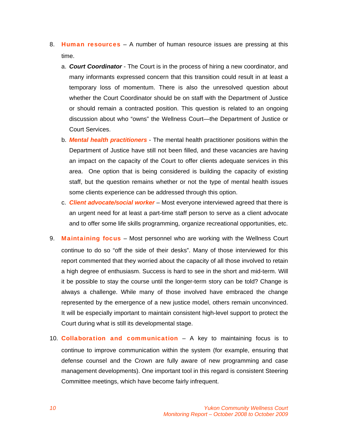- 8. Human resources A number of human resource issues are pressing at this time.
	- a. *Court Coordinator* The Court is in the process of hiring a new coordinator, and many informants expressed concern that this transition could result in at least a temporary loss of momentum. There is also the unresolved question about whether the Court Coordinator should be on staff with the Department of Justice or should remain a contracted position. This question is related to an ongoing discussion about who "owns" the Wellness Court—the Department of Justice or Court Services.
	- b. *Mental health practitioners* The mental health practitioner positions within the Department of Justice have still not been filled, and these vacancies are having an impact on the capacity of the Court to offer clients adequate services in this area. One option that is being considered is building the capacity of existing staff, but the question remains whether or not the type of mental health issues some clients experience can be addressed through this option.
	- c. *Client advocate/social worker* Most everyone interviewed agreed that there is an urgent need for at least a part-time staff person to serve as a client advocate and to offer some life skills programming, organize recreational opportunities, etc.
- 9. Maintaining focus Most personnel who are working with the Wellness Court continue to do so "off the side of their desks". Many of those interviewed for this report commented that they worried about the capacity of all those involved to retain a high degree of enthusiasm. Success is hard to see in the short and mid-term. Will it be possible to stay the course until the longer-term story can be told? Change is always a challenge. While many of those involved have embraced the change represented by the emergence of a new justice model, others remain unconvinced. It will be especially important to maintain consistent high-level support to protect the Court during what is still its developmental stage.
- 10. **Collaboration and communication**  $-$  A key to maintaining focus is to continue to improve communication within the system (for example, ensuring that defense counsel and the Crown are fully aware of new programming and case management developments). One important tool in this regard is consistent Steering Committee meetings, which have become fairly infrequent.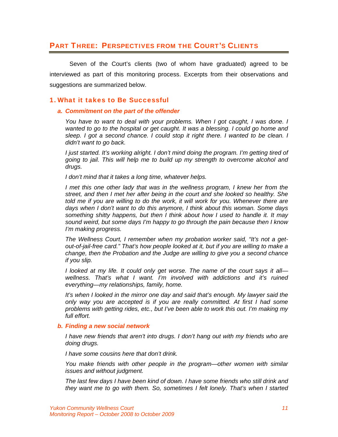# PART THREE: PERSPECTIVES FROM THE COURT'S CLIENTS

 Seven of the Court's clients (two of whom have graduated) agreed to be interviewed as part of this monitoring process. Excerpts from their observations and suggestions are summarized below.

# 1. What it takes to Be Successful

#### *a. Commitment on the part of the offender*

*You have to want to deal with your problems. When I got caught, I was done. I wanted to go to the hospital or get caught. It was a blessing. I could go home and sleep. I got a second chance. I could stop it right there. I wanted to be clean. I didn't want to go back.* 

*I just started. It's working alright. I don't mind doing the program. I'm getting tired of going to jail. This will help me to build up my strength to overcome alcohol and drugs.* 

*I don't mind that it takes a long time, whatever helps.* 

*I* met this one other lady that was in the wellness program, *I* knew her from the *street, and then I met her after being in the court and she looked so healthy. She*  told me if you are willing to do the work, it will work for you. Whenever there are *days when I don't want to do this anymore, I think about this woman. Some days something shitty happens, but then I think about how I used to handle it. It may sound weird, but some days I'm happy to go through the pain because then I know I'm making progress.* 

*The Wellness Court, I remember when my probation worker said, "It's not a getout-of-jail-free card." That's how people looked at it, but if you are willing to make a change, then the Probation and the Judge are willing to give you a second chance if you slip.* 

*I looked at my life. It could only get worse. The name of the court says it all wellness. That's what I want. I'm involved with addictions and it's ruined everything—my relationships, family, home.* 

*It's when I looked in the mirror one day and said that's enough. My lawyer said the only way you are accepted is if you are really committed. At first I had some problems with getting rides, etc., but I've been able to work this out. I'm making my full effort.* 

#### *b. Finding a new social network*

*I have new friends that aren't into drugs. I don't hang out with my friends who are doing drugs.* 

*I have some cousins here that don't drink.* 

*You make friends with other people in the program—other women with similar issues and without judgment.* 

*The last few days I have been kind of down. I have some friends who still drink and they want me to go with them. So, sometimes I felt lonely. That's when I started*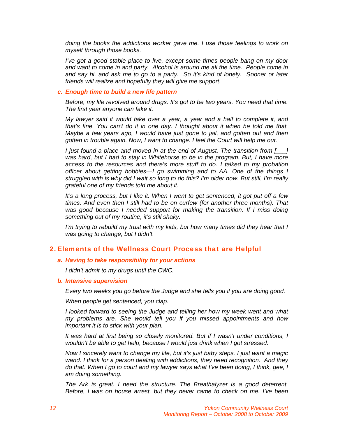*doing the books the addictions worker gave me. I use those feelings to work on myself through those books.* 

*I've got a good stable place to live, except some times people bang on my door and want to come in and party. Alcohol is around me all the time. People come in and say hi, and ask me to go to a party. So it's kind of lonely. Sooner or later friends will realize and hopefully they will give me support.* 

#### *c. Enough time to build a new life pattern*

*Before, my life revolved around drugs. It's got to be two years. You need that time. The first year anyone can fake it.* 

*My lawyer said it would take over a year, a year and a half to complete it, and that's fine. You can't do it in one day. I thought about it when he told me that. Maybe a few years ago, I would have just gone to jail, and gotten out and then gotten in trouble again. Now, I want to change. I feel the Court will help me out.* 

*I just found a place and moved in at the end of August. The transition from [\_\_\_]*  was hard, but I had to stay in Whitehorse to be in the program. But, I have more *access to the resources and there's more stuff to do. I talked to my probation officer about getting hobbies—I go swimming and to AA. One of the things I struggled with is why did I wait so long to do this? I'm older now. But still, I'm really grateful one of my friends told me about it.* 

*It's a long process, but I like it. When I went to get sentenced, it got put off a few times. And even then I still had to be on curfew (for another three months). That*  was good because I needed support for making the transition. If I miss doing *something out of my routine, it's still shaky.* 

*I'm trying to rebuild my trust with my kids, but how many times did they hear that I was going to change, but I didn't.* 

## 2. Elements of the Wellness Court Process that are Helpful

#### *a. Having to take responsibility for your actions*

*I didn't admit to my drugs until the CWC.* 

#### *b. Intensive supervision*

*Every two weeks you go before the Judge and she tells you if you are doing good.* 

*When people get sentenced, you clap.* 

*I looked forward to seeing the Judge and telling her how my week went and what my problems are. She would tell you if you missed appointments and how important it is to stick with your plan.* 

*It was hard at first being so closely monitored. But if I wasn't under conditions, I wouldn't be able to get help, because I would just drink when I got stressed.* 

*Now I sincerely want to change my life, but it's just baby steps. I just want a magic wand. I think for a person dealing with addictions, they need recognition. And they do that. When I go to court and my lawyer says what I've been doing, I think, gee, I am doing something.* 

*The Ark is great. I need the structure. The Breathalyzer is a good deterrent. Before, I was on house arrest, but they never came to check on me. I've been*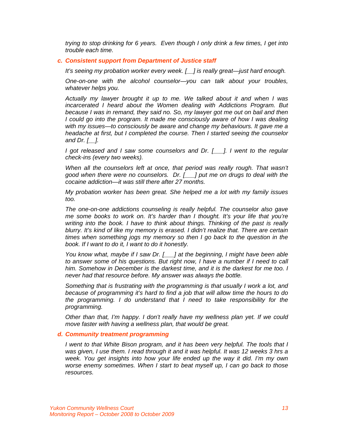*trying to stop drinking for 6 years. Even though I only drink a few times, I get into trouble each time.* 

#### *c. Consistent support from Department of Justice staff*

*It's seeing my probation worker every week. [\_\_] is really great—just hard enough.* 

*One-on-one with the alcohol counselor—you can talk about your troubles, whatever helps you.* 

*Actually my lawyer brought it up to me. We talked about it and when I was incarcerated I heard about the Women dealing with Addictions Program. But because I was in remand, they said no. So, my lawyer got me out on bail and then I* could go into the program. It made me consciously aware of how I was dealing *with my issues—to consciously be aware and change my behaviours. It gave me a headache at first, but I completed the course. Then I started seeing the counselor and Dr. [\_\_].* 

*I got released and I saw some counselors and Dr. [\_\_\_]. I went to the regular check-ins (every two weeks).* 

*When all the counselors left at once, that period was really rough. That wasn't good when there were no counselors. Dr. [\_\_\_] put me on drugs to deal with the cocaine addiction—it was still there after 27 months.* 

*My probation worker has been great. She helped me a lot with my family issues too.* 

*The one-on-one addictions counseling is really helpful. The counselor also gave me some books to work on. It's harder than I thought. It's your life that you're writing into the book. I have to think about things. Thinking of the past is really blurry. It's kind of like my memory is erased. I didn't realize that. There are certain times when something jogs my memory so then I go back to the question in the book. If I want to do it, I want to do it honestly.* 

*You know what, maybe if I saw Dr. [\_\_\_] at the beginning, I might have been able to answer some of his questions. But right now, I have a number if I need to call him. Somehow in December is the darkest time, and it is the darkest for me too. I never had that resource before. My answer was always the bottle.* 

*Something that is frustrating with the programming is that usually I work a lot, and because of programming it's hard to find a job that will allow time the hours to do the programming. I do understand that I need to take responsibility for the programming.* 

*Other than that, I'm happy. I don't really have my wellness plan yet. If we could move faster with having a wellness plan, that would be great.* 

#### *d. Community treatment programming*

*I went to that White Bison program, and it has been very helpful. The tools that I*  was given, I use them. I read through it and it was helpful. It was 12 weeks 3 hrs a *week. You get insights into how your life ended up the way it did. I'm my own worse enemy sometimes. When I start to beat myself up, I can go back to those resources.*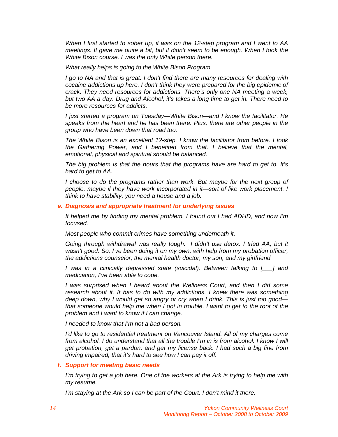*When I first started to sober up, it was on the 12-step program and I went to AA meetings. It gave me quite a bit, but it didn't seem to be enough. When I took the White Bison course, I was the only White person there.* 

*What really helps is going to the White Bison Program.* 

*I go to NA and that is great. I don't find there are many resources for dealing with cocaine addictions up here. I don't think they were prepared for the big epidemic of crack. They need resources for addictions. There's only one NA meeting a week, but two AA a day. Drug and Alcohol, it's takes a long time to get in. There need to be more resources for addicts.* 

*I just started a program on Tuesday—White Bison—and I know the facilitator. He speaks from the heart and he has been there. Plus, there are other people in the group who have been down that road too.* 

*The White Bison is an excellent 12-step. I know the facilitator from before. I took the Gathering Power, and I benefited from that. I believe that the mental, emotional, physical and spiritual should be balanced.* 

*The big problem is that the hours that the programs have are hard to get to. It's hard to get to AA.* 

*I choose to do the programs rather than work. But maybe for the next group of people, maybe if they have work incorporated in it—sort of like work placement. I think to have stability, you need a house and a job.* 

## *e. Diagnosis and appropriate treatment for underlying issues*

*It helped me by finding my mental problem. I found out I had ADHD, and now I'm focused.* 

*Most people who commit crimes have something underneath it.* 

*Going through withdrawal was really tough. I didn't use detox. I tried AA, but it wasn't good. So, I've been doing it on my own, with help from my probation officer, the addictions counselor, the mental health doctor, my son, and my girlfriend.* 

*I was in a clinically depressed state (suicidal). Between talking to [\_\_\_] and medication, I've been able to cope.* 

*I was surprised when I heard about the Wellness Court, and then I did some research about it. It has to do with my addictions. I knew there was something deep down, why I would get so angry or cry when I drink. This is just too good that someone would help me when I got in trouble. I want to get to the root of the problem and I want to know if I can change.* 

*I needed to know that I'm not a bad person.* 

*I'd like to go to residential treatment on Vancouver Island. All of my charges come from alcohol. I do understand that all the trouble I'm in is from alcohol. I know I will get probation, get a pardon, and get my license back. I had such a big fine from driving impaired, that it's hard to see how I can pay it off.* 

#### *f. Support for meeting basic needs*

*I'm trying to get a job here. One of the workers at the Ark is trying to help me with my resume.* 

*I'm staying at the Ark so I can be part of the Court. I don't mind it there.*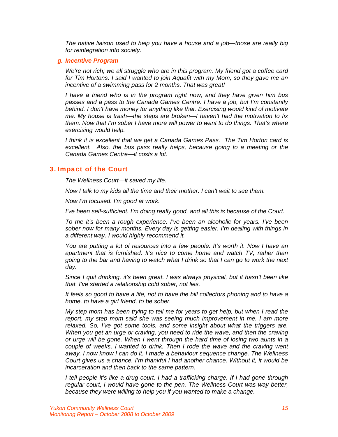*The native liaison used to help you have a house and a job—those are really big for reintegration into society.* 

#### *g. Incentive Program*

*We're not rich; we all struggle who are in this program. My friend got a coffee card for Tim Hortons. I said I wanted to join Aquafit with my Mom, so they gave me an incentive of a swimming pass for 2 months. That was great!* 

*I have a friend who is in the program right now, and they have given him bus passes and a pass to the Canada Games Centre. I have a job, but I'm constantly behind. I don't have money for anything like that. Exercising would kind of motivate me. My house is trash—the steps are broken—I haven't had the motivation to fix them. Now that I'm sober I have more will power to want to do things. That's where exercising would help.* 

*I think it is excellent that we get a Canada Games Pass. The Tim Horton card is excellent. Also, the bus pass really helps, because going to a meeting or the Canada Games Centre—it costs a lot.* 

#### 3. Impact of the Court

*The Wellness Court—it saved my life.* 

*Now I talk to my kids all the time and their mother. I can't wait to see them.* 

*Now I'm focused. I'm good at work.* 

*I've been self-sufficient. I'm doing really good, and all this is because of the Court.* 

*To me it's been a rough experience. I've been an alcoholic for years. I've been sober now for many months. Every day is getting easier. I'm dealing with things in a different way. I would highly recommend it.* 

*You are putting a lot of resources into a few people. It's worth it. Now I have an apartment that is furnished. It's nice to come home and watch TV, rather than going to the bar and having to watch what I drink so that I can go to work the next day.* 

*Since I quit drinking, it's been great. I was always physical, but it hasn't been like that. I've started a relationship cold sober, not lies.* 

*It feels so good to have a life, not to have the bill collectors phoning and to have a home, to have a girl friend, to be sober.* 

*My step mom has been trying to tell me for years to get help, but when I read the report, my step mom said she was seeing much improvement in me. I am more relaxed. So, I've got some tools, and some insight about what the triggers are. When you get an urge or craving, you need to ride the wave, and then the craving or urge will be gone. When I went through the hard time of losing two aunts in a couple of weeks, I wanted to drink. Then I rode the wave and the craving went away. I now know I can do it. I made a behaviour sequence change. The Wellness Court gives us a chance. I'm thankful I had another chance. Without it, it would be incarceration and then back to the same pattern.* 

*I tell people it's like a drug court. I had a trafficking charge. If I had gone through regular court, I would have gone to the pen. The Wellness Court was way better, because they were willing to help you if you wanted to make a change.*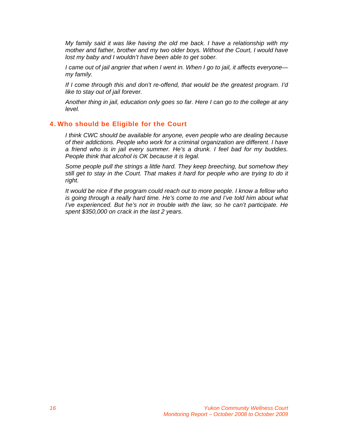*My family said it was like having the old me back. I have a relationship with my mother and father, brother and my two older boys. Without the Court, I would have lost my baby and I wouldn't have been able to get sober.* 

*I came out of jail angrier that when I went in. When I go to jail, it affects everyone my family.* 

*If I come through this and don't re-offend, that would be the greatest program. I'd like to stay out of jail forever.* 

*Another thing in jail, education only goes so far. Here I can go to the college at any level.* 

# 4. Who should be Eligible for the Court

*I think CWC should be available for anyone, even people who are dealing because of their addictions. People who work for a criminal organization are different. I have a friend who is in jail every summer. He's a drunk. I feel bad for my buddies. People think that alcohol is OK because it is legal.* 

*Some people pull the strings a little hard. They keep breeching, but somehow they still get to stay in the Court. That makes it hard for people who are trying to do it right.* 

*It would be nice if the program could reach out to more people. I know a fellow who is going through a really hard time. He's come to me and I've told him about what I've experienced. But he's not in trouble with the law, so he can't participate. He spent \$350,000 on crack in the last 2 years.*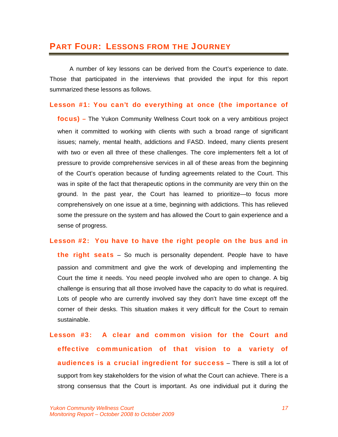# PART FOUR: LESSONS FROM THE JOURNEY

 A number of key lessons can be derived from the Court's experience to date. Those that participated in the interviews that provided the input for this report summarized these lessons as follows.

## Lesson #1: You can't do everything at once (the importance of

focus) *–* The Yukon Community Wellness Court took on a very ambitious project when it committed to working with clients with such a broad range of significant issues; namely, mental health, addictions and FASD. Indeed, many clients present with two or even all three of these challenges. The core implementers felt a lot of pressure to provide comprehensive services in all of these areas from the beginning of the Court's operation because of funding agreements related to the Court. This was in spite of the fact that therapeutic options in the community are very thin on the ground. In the past year, the Court has learned to prioritize—to focus more comprehensively on one issue at a time, beginning with addictions. This has relieved some the pressure on the system and has allowed the Court to gain experience and a sense of progress.

# Lesson #2: You have to have the right people on the bus and in

**the right seats** – So much is personality dependent. People have to have passion and commitment and give the work of developing and implementing the Court the time it needs. You need people involved who are open to change. A big challenge is ensuring that all those involved have the capacity to do what is required. Lots of people who are currently involved say they don't have time except off the corner of their desks. This situation makes it very difficult for the Court to remain sustainable.

Lesson #3: A clear and common vision for the Court and effective communication of that vision to a variety of **audiences is a crucial ingredient for success** – There is still a lot of support from key stakeholders for the vision of what the Court can achieve. There is a strong consensus that the Court is important. As one individual put it during the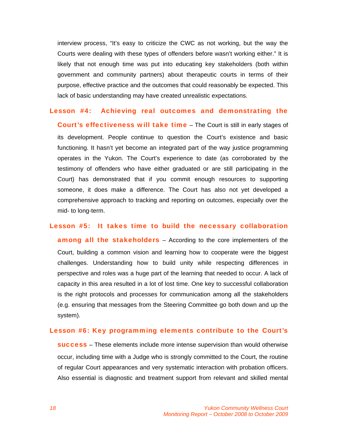interview process, "It's easy to criticize the CWC as not working, but the way the Courts were dealing with these types of offenders before wasn't working either." It is likely that not enough time was put into educating key stakeholders (both within government and community partners) about therapeutic courts in terms of their purpose, effective practice and the outcomes that could reasonably be expected. This lack of basic understanding may have created unrealistic expectations.

#### Lesson #4: Achieving real outcomes and demonstrating the

Court's effectiveness will take time – The Court is still in early stages of its development. People continue to question the Court's existence and basic functioning. It hasn't yet become an integrated part of the way justice programming operates in the Yukon. The Court's experience to date (as corroborated by the testimony of offenders who have either graduated or are still participating in the Court) has demonstrated that if you commit enough resources to supporting someone, it does make a difference. The Court has also not yet developed a comprehensive approach to tracking and reporting on outcomes, especially over the mid- to long-term.

## Lesson #5: It takes time to build the necessary collaboration

**among all the stakeholders** – According to the core implementers of the Court, building a common vision and learning how to cooperate were the biggest challenges. Understanding how to build unity while respecting differences in perspective and roles was a huge part of the learning that needed to occur. A lack of capacity in this area resulted in a lot of lost time. One key to successful collaboration is the right protocols and processes for communication among all the stakeholders (e.g. ensuring that messages from the Steering Committee go both down and up the system).

## Lesson #6: Key programming elements contribute to the Court's

success – These elements include more intense supervision than would otherwise occur, including time with a Judge who is strongly committed to the Court, the routine of regular Court appearances and very systematic interaction with probation officers. Also essential is diagnostic and treatment support from relevant and skilled mental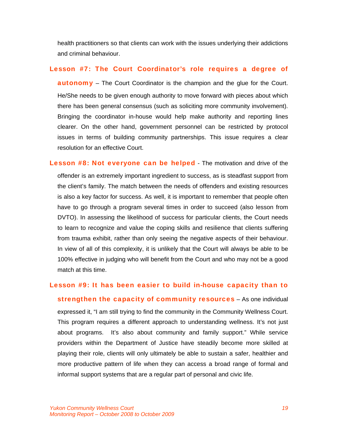health practitioners so that clients can work with the issues underlying their addictions and criminal behaviour.

# Lesson #7: The Court Coordinator's role requires a degree of

**autonomy** – The Court Coordinator is the champion and the glue for the Court. He/She needs to be given enough authority to move forward with pieces about which there has been general consensus (such as soliciting more community involvement). Bringing the coordinator in-house would help make authority and reporting lines clearer. On the other hand, government personnel can be restricted by protocol issues in terms of building community partnerships. This issue requires a clear resolution for an effective Court.

Lesson #8: Not everyone can be helped - The motivation and drive of the offender is an extremely important ingredient to success, as is steadfast support from the client's family. The match between the needs of offenders and existing resources is also a key factor for success. As well, it is important to remember that people often have to go through a program several times in order to succeed (also lesson from DVTO). In assessing the likelihood of success for particular clients, the Court needs to learn to recognize and value the coping skills and resilience that clients suffering from trauma exhibit, rather than only seeing the negative aspects of their behaviour. In view of all of this complexity, it is unlikely that the Court will always be able to be 100% effective in judging who will benefit from the Court and who may not be a good match at this time.

## Lesson #9: It has been easier to build in-house capacity than to

strengthen the capacity of community resources - As one individual expressed it, "I am still trying to find the community in the Community Wellness Court. This program requires a different approach to understanding wellness. It's not just about programs. It's also about community and family support." While service providers within the Department of Justice have steadily become more skilled at playing their role, clients will only ultimately be able to sustain a safer, healthier and more productive pattern of life when they can access a broad range of formal and informal support systems that are a regular part of personal and civic life.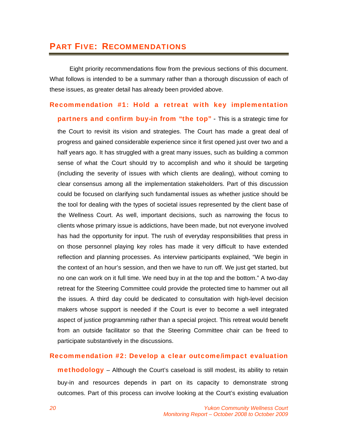# PART FIVE: RECOMMENDATIONS

 Eight priority recommendations flow from the previous sections of this document. What follows is intended to be a summary rather than a thorough discussion of each of these issues, as greater detail has already been provided above.

# Recommendation #1: Hold a retreat with key implementation

partners and confirm buy-in from "the top" - This is a strategic time for the Court to revisit its vision and strategies. The Court has made a great deal of progress and gained considerable experience since it first opened just over two and a half years ago. It has struggled with a great many issues, such as building a common sense of what the Court should try to accomplish and who it should be targeting (including the severity of issues with which clients are dealing), without coming to clear consensus among all the implementation stakeholders. Part of this discussion could be focused on clarifying such fundamental issues as whether justice should be the tool for dealing with the types of societal issues represented by the client base of the Wellness Court. As well, important decisions, such as narrowing the focus to clients whose primary issue is addictions, have been made, but not everyone involved has had the opportunity for input. The rush of everyday responsibilities that press in on those personnel playing key roles has made it very difficult to have extended reflection and planning processes. As interview participants explained, "We begin in the context of an hour's session, and then we have to run off. We just get started, but no one can work on it full time. We need buy in at the top and the bottom." A two-day retreat for the Steering Committee could provide the protected time to hammer out all the issues. A third day could be dedicated to consultation with high-level decision makers whose support is needed if the Court is ever to become a well integrated aspect of justice programming rather than a special project. This retreat would benefit from an outside facilitator so that the Steering Committee chair can be freed to participate substantively in the discussions.

# Recommendation #2: Develop a clear outcome/impact evaluation

**methodology** – Although the Court's caseload is still modest, its ability to retain buy-in and resources depends in part on its capacity to demonstrate strong outcomes. Part of this process can involve looking at the Court's existing evaluation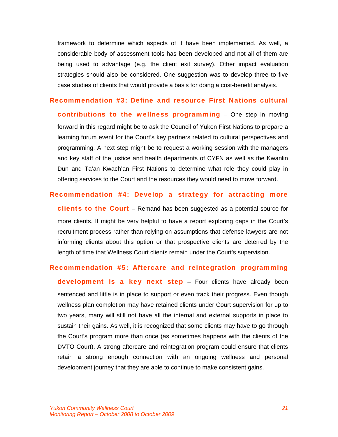framework to determine which aspects of it have been implemented. As well, a considerable body of assessment tools has been developed and not all of them are being used to advantage (e.g. the client exit survey). Other impact evaluation strategies should also be considered. One suggestion was to develop three to five case studies of clients that would provide a basis for doing a cost-benefit analysis.

# Recommendation #3: Define and resource First Nations cultural

contributions to the wellness programming - One step in moving forward in this regard might be to ask the Council of Yukon First Nations to prepare a learning forum event for the Court's key partners related to cultural perspectives and programming. A next step might be to request a working session with the managers and key staff of the justice and health departments of CYFN as well as the Kwanlin Dun and Ta'an Kwach'an First Nations to determine what role they could play in offering services to the Court and the resources they would need to move forward.

## Recommendation #4: Develop a strategy for attracting more

**clients to the Court** – Remand has been suggested as a potential source for more clients. It might be very helpful to have a report exploring gaps in the Court's recruitment process rather than relying on assumptions that defense lawyers are not informing clients about this option or that prospective clients are deterred by the length of time that Wellness Court clients remain under the Court's supervision.

#### Recommendation #5: Aftercare and reintegration programming

development is a key next step - Four clients have already been sentenced and little is in place to support or even track their progress. Even though wellness plan completion may have retained clients under Court supervision for up to two years, many will still not have all the internal and external supports in place to sustain their gains. As well, it is recognized that some clients may have to go through the Court's program more than once (as sometimes happens with the clients of the DVTO Court). A strong aftercare and reintegration program could ensure that clients retain a strong enough connection with an ongoing wellness and personal development journey that they are able to continue to make consistent gains.